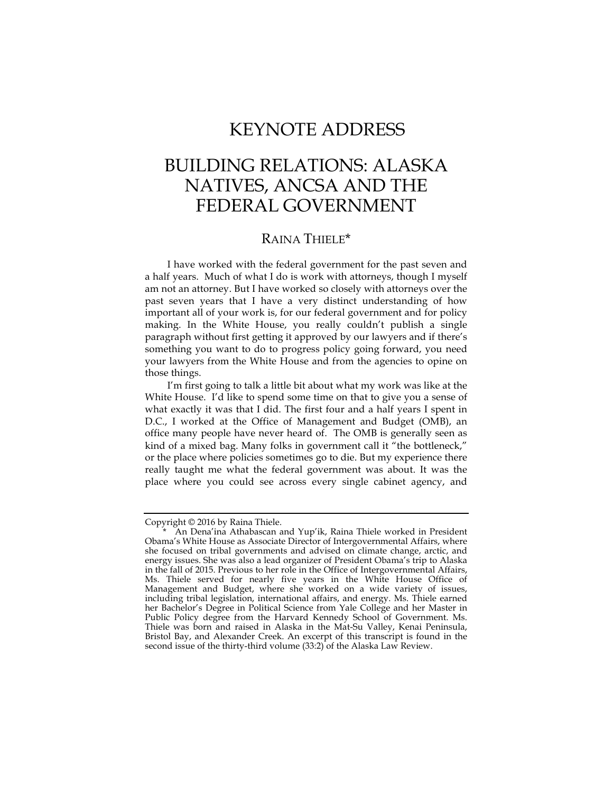## KEYNOTE ADDRESS

## BUILDING RELATIONS: ALASKA NATIVES, ANCSA AND THE FEDERAL GOVERNMENT

## RAINA THIELE\*

I have worked with the federal government for the past seven and a half years. Much of what I do is work with attorneys, though I myself am not an attorney. But I have worked so closely with attorneys over the past seven years that I have a very distinct understanding of how important all of your work is, for our federal government and for policy making. In the White House, you really couldn't publish a single paragraph without first getting it approved by our lawyers and if there's something you want to do to progress policy going forward, you need your lawyers from the White House and from the agencies to opine on those things.

I'm first going to talk a little bit about what my work was like at the White House. I'd like to spend some time on that to give you a sense of what exactly it was that I did. The first four and a half years I spent in D.C., I worked at the Office of Management and Budget (OMB), an office many people have never heard of. The OMB is generally seen as kind of a mixed bag. Many folks in government call it "the bottleneck," or the place where policies sometimes go to die. But my experience there really taught me what the federal government was about. It was the place where you could see across every single cabinet agency, and

Copyright © 2016 by Raina Thiele.

An Dena'ina Athabascan and Yup'ik, Raina Thiele worked in President Obama's White House as Associate Director of Intergovernmental Affairs, where she focused on tribal governments and advised on climate change, arctic, and energy issues. She was also a lead organizer of President Obama's trip to Alaska in the fall of 2015. Previous to her role in the Office of Intergovernmental Affairs, Ms. Thiele served for nearly five years in the White House Office of Management and Budget, where she worked on a wide variety of issues, including tribal legislation, international affairs, and energy. Ms. Thiele earned her Bachelor's Degree in Political Science from Yale College and her Master in Public Policy degree from the Harvard Kennedy School of Government. Ms. Thiele was born and raised in Alaska in the Mat-Su Valley, Kenai Peninsula, Bristol Bay, and Alexander Creek. An excerpt of this transcript is found in the second issue of the thirty-third volume (33:2) of the Alaska Law Review.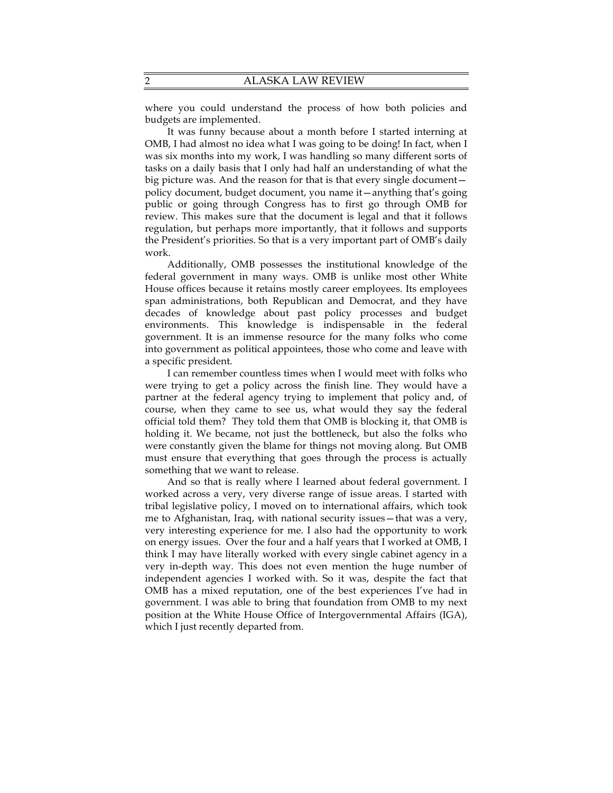where you could understand the process of how both policies and budgets are implemented.

It was funny because about a month before I started interning at OMB, I had almost no idea what I was going to be doing! In fact, when I was six months into my work, I was handling so many different sorts of tasks on a daily basis that I only had half an understanding of what the big picture was. And the reason for that is that every single document policy document, budget document, you name it—anything that's going public or going through Congress has to first go through OMB for review. This makes sure that the document is legal and that it follows regulation, but perhaps more importantly, that it follows and supports the President's priorities. So that is a very important part of OMB's daily work.

Additionally, OMB possesses the institutional knowledge of the federal government in many ways. OMB is unlike most other White House offices because it retains mostly career employees. Its employees span administrations, both Republican and Democrat, and they have decades of knowledge about past policy processes and budget environments. This knowledge is indispensable in the federal government. It is an immense resource for the many folks who come into government as political appointees, those who come and leave with a specific president.

I can remember countless times when I would meet with folks who were trying to get a policy across the finish line. They would have a partner at the federal agency trying to implement that policy and, of course, when they came to see us, what would they say the federal official told them? They told them that OMB is blocking it, that OMB is holding it. We became, not just the bottleneck, but also the folks who were constantly given the blame for things not moving along. But OMB must ensure that everything that goes through the process is actually something that we want to release.

And so that is really where I learned about federal government. I worked across a very, very diverse range of issue areas. I started with tribal legislative policy, I moved on to international affairs, which took me to Afghanistan, Iraq, with national security issues—that was a very, very interesting experience for me. I also had the opportunity to work on energy issues. Over the four and a half years that I worked at OMB, I think I may have literally worked with every single cabinet agency in a very in-depth way. This does not even mention the huge number of independent agencies I worked with. So it was, despite the fact that OMB has a mixed reputation, one of the best experiences I've had in government. I was able to bring that foundation from OMB to my next position at the White House Office of Intergovernmental Affairs (IGA), which I just recently departed from.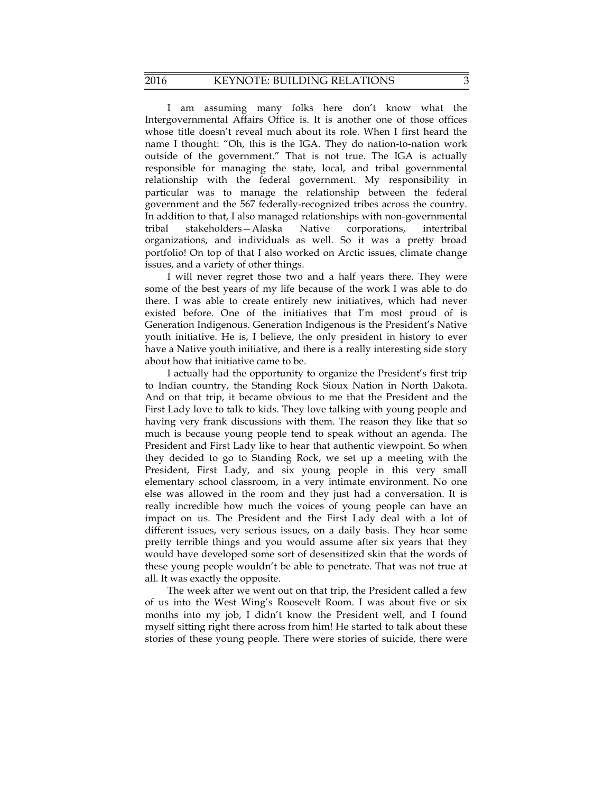## 2016 KEYNOTE: BUILDING RELATIONS 3

I am assuming many folks here don't know what the Intergovernmental Affairs Office is. It is another one of those offices whose title doesn't reveal much about its role. When I first heard the name I thought: "Oh, this is the IGA. They do nation-to-nation work outside of the government." That is not true. The IGA is actually responsible for managing the state, local, and tribal governmental relationship with the federal government. My responsibility in particular was to manage the relationship between the federal government and the 567 federally-recognized tribes across the country. In addition to that, I also managed relationships with non-governmental tribal stakeholders—Alaska Native corporations, intertribal organizations, and individuals as well. So it was a pretty broad portfolio! On top of that I also worked on Arctic issues, climate change issues, and a variety of other things.

I will never regret those two and a half years there. They were some of the best years of my life because of the work I was able to do there. I was able to create entirely new initiatives, which had never existed before. One of the initiatives that I'm most proud of is Generation Indigenous. Generation Indigenous is the President's Native youth initiative. He is, I believe, the only president in history to ever have a Native youth initiative, and there is a really interesting side story about how that initiative came to be.

I actually had the opportunity to organize the President's first trip to Indian country, the Standing Rock Sioux Nation in North Dakota. And on that trip, it became obvious to me that the President and the First Lady love to talk to kids. They love talking with young people and having very frank discussions with them. The reason they like that so much is because young people tend to speak without an agenda. The President and First Lady like to hear that authentic viewpoint. So when they decided to go to Standing Rock, we set up a meeting with the President, First Lady, and six young people in this very small elementary school classroom, in a very intimate environment. No one else was allowed in the room and they just had a conversation. It is really incredible how much the voices of young people can have an impact on us. The President and the First Lady deal with a lot of different issues, very serious issues, on a daily basis. They hear some pretty terrible things and you would assume after six years that they would have developed some sort of desensitized skin that the words of these young people wouldn't be able to penetrate. That was not true at all. It was exactly the opposite.

The week after we went out on that trip, the President called a few of us into the West Wing's Roosevelt Room. I was about five or six months into my job, I didn't know the President well, and I found myself sitting right there across from him! He started to talk about these stories of these young people. There were stories of suicide, there were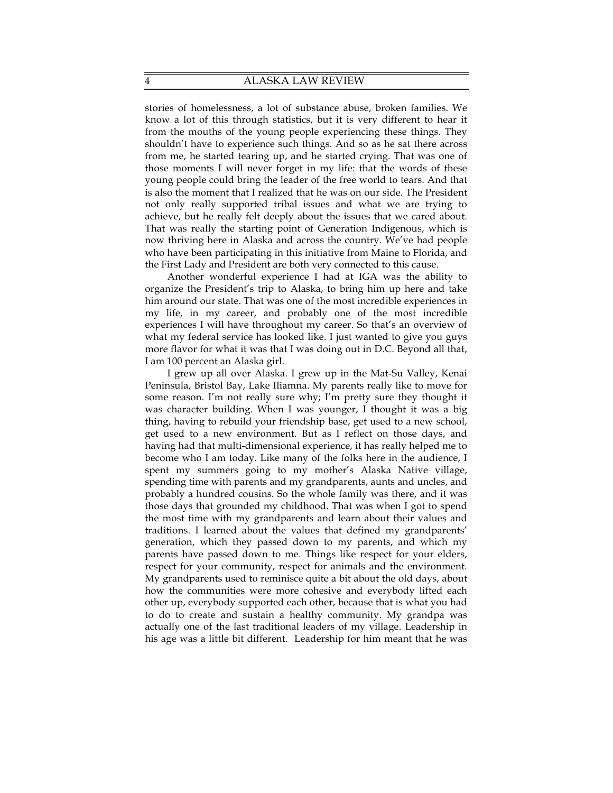stories of homelessness, a lot of substance abuse, broken families. We know a lot of this through statistics, but it is very different to hear it from the mouths of the young people experiencing these things. They shouldn't have to experience such things. And so as he sat there across from me, he started tearing up, and he started crying. That was one of those moments I will never forget in my life: that the words of these young people could bring the leader of the free world to tears. And that is also the moment that I realized that he was on our side. The President not only really supported tribal issues and what we are trying to achieve, but he really felt deeply about the issues that we cared about. That was really the starting point of Generation Indigenous, which is now thriving here in Alaska and across the country. We've had people who have been participating in this initiative from Maine to Florida, and the First Lady and President are both very connected to this cause.

Another wonderful experience I had at IGA was the ability to organize the President's trip to Alaska, to bring him up here and take him around our state. That was one of the most incredible experiences in my life, in my career, and probably one of the most incredible experiences I will have throughout my career. So that's an overview of what my federal service has looked like. I just wanted to give you guys more flavor for what it was that I was doing out in D.C. Beyond all that, I am 100 percent an Alaska girl.

I grew up all over Alaska. I grew up in the Mat-Su Valley, Kenai Peninsula, Bristol Bay, Lake Iliamna. My parents really like to move for some reason. I'm not really sure why; I'm pretty sure they thought it was character building. When I was younger, I thought it was a big thing, having to rebuild your friendship base, get used to a new school, get used to a new environment. But as I reflect on those days, and having had that multi-dimensional experience, it has really helped me to become who I am today. Like many of the folks here in the audience, I spent my summers going to my mother's Alaska Native village, spending time with parents and my grandparents, aunts and uncles, and probably a hundred cousins. So the whole family was there, and it was those days that grounded my childhood. That was when I got to spend the most time with my grandparents and learn about their values and traditions. I learned about the values that defined my grandparents' generation, which they passed down to my parents, and which my parents have passed down to me. Things like respect for your elders, respect for your community, respect for animals and the environment. My grandparents used to reminisce quite a bit about the old days, about how the communities were more cohesive and everybody lifted each other up, everybody supported each other, because that is what you had to do to create and sustain a healthy community. My grandpa was actually one of the last traditional leaders of my village. Leadership in his age was a little bit different. Leadership for him meant that he was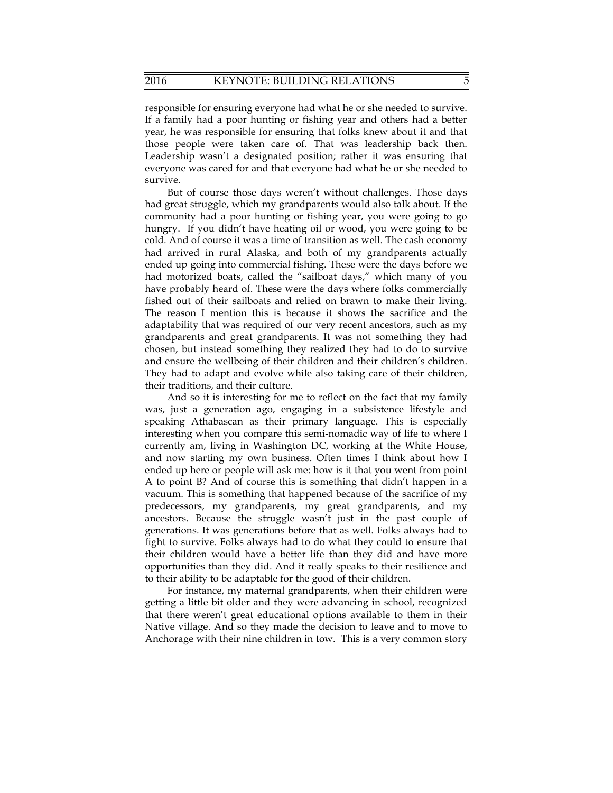responsible for ensuring everyone had what he or she needed to survive. If a family had a poor hunting or fishing year and others had a better year, he was responsible for ensuring that folks knew about it and that those people were taken care of. That was leadership back then. Leadership wasn't a designated position; rather it was ensuring that everyone was cared for and that everyone had what he or she needed to survive.

But of course those days weren't without challenges. Those days had great struggle, which my grandparents would also talk about. If the community had a poor hunting or fishing year, you were going to go hungry. If you didn't have heating oil or wood, you were going to be cold. And of course it was a time of transition as well. The cash economy had arrived in rural Alaska, and both of my grandparents actually ended up going into commercial fishing. These were the days before we had motorized boats, called the "sailboat days," which many of you have probably heard of. These were the days where folks commercially fished out of their sailboats and relied on brawn to make their living. The reason I mention this is because it shows the sacrifice and the adaptability that was required of our very recent ancestors, such as my grandparents and great grandparents. It was not something they had chosen, but instead something they realized they had to do to survive and ensure the wellbeing of their children and their children's children. They had to adapt and evolve while also taking care of their children, their traditions, and their culture.

And so it is interesting for me to reflect on the fact that my family was, just a generation ago, engaging in a subsistence lifestyle and speaking Athabascan as their primary language. This is especially interesting when you compare this semi-nomadic way of life to where I currently am, living in Washington DC, working at the White House, and now starting my own business. Often times I think about how I ended up here or people will ask me: how is it that you went from point A to point B? And of course this is something that didn't happen in a vacuum. This is something that happened because of the sacrifice of my predecessors, my grandparents, my great grandparents, and my ancestors. Because the struggle wasn't just in the past couple of generations. It was generations before that as well. Folks always had to fight to survive. Folks always had to do what they could to ensure that their children would have a better life than they did and have more opportunities than they did. And it really speaks to their resilience and to their ability to be adaptable for the good of their children.

For instance, my maternal grandparents, when their children were getting a little bit older and they were advancing in school, recognized that there weren't great educational options available to them in their Native village. And so they made the decision to leave and to move to Anchorage with their nine children in tow. This is a very common story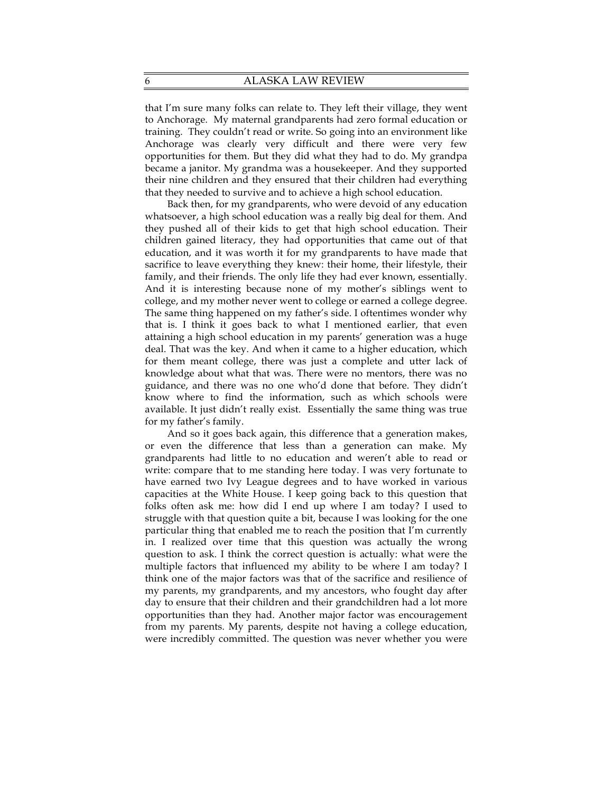that I'm sure many folks can relate to. They left their village, they went to Anchorage. My maternal grandparents had zero formal education or training. They couldn't read or write. So going into an environment like Anchorage was clearly very difficult and there were very few opportunities for them. But they did what they had to do. My grandpa became a janitor. My grandma was a housekeeper. And they supported their nine children and they ensured that their children had everything that they needed to survive and to achieve a high school education.

Back then, for my grandparents, who were devoid of any education whatsoever, a high school education was a really big deal for them. And they pushed all of their kids to get that high school education. Their children gained literacy, they had opportunities that came out of that education, and it was worth it for my grandparents to have made that sacrifice to leave everything they knew: their home, their lifestyle, their family, and their friends. The only life they had ever known, essentially. And it is interesting because none of my mother's siblings went to college, and my mother never went to college or earned a college degree. The same thing happened on my father's side. I oftentimes wonder why that is. I think it goes back to what I mentioned earlier, that even attaining a high school education in my parents' generation was a huge deal. That was the key. And when it came to a higher education, which for them meant college, there was just a complete and utter lack of knowledge about what that was. There were no mentors, there was no guidance, and there was no one who'd done that before. They didn't know where to find the information, such as which schools were available. It just didn't really exist. Essentially the same thing was true for my father's family.

And so it goes back again, this difference that a generation makes, or even the difference that less than a generation can make. My grandparents had little to no education and weren't able to read or write: compare that to me standing here today. I was very fortunate to have earned two Ivy League degrees and to have worked in various capacities at the White House. I keep going back to this question that folks often ask me: how did I end up where I am today? I used to struggle with that question quite a bit, because I was looking for the one particular thing that enabled me to reach the position that I'm currently in. I realized over time that this question was actually the wrong question to ask. I think the correct question is actually: what were the multiple factors that influenced my ability to be where I am today? I think one of the major factors was that of the sacrifice and resilience of my parents, my grandparents, and my ancestors, who fought day after day to ensure that their children and their grandchildren had a lot more opportunities than they had. Another major factor was encouragement from my parents. My parents, despite not having a college education, were incredibly committed. The question was never whether you were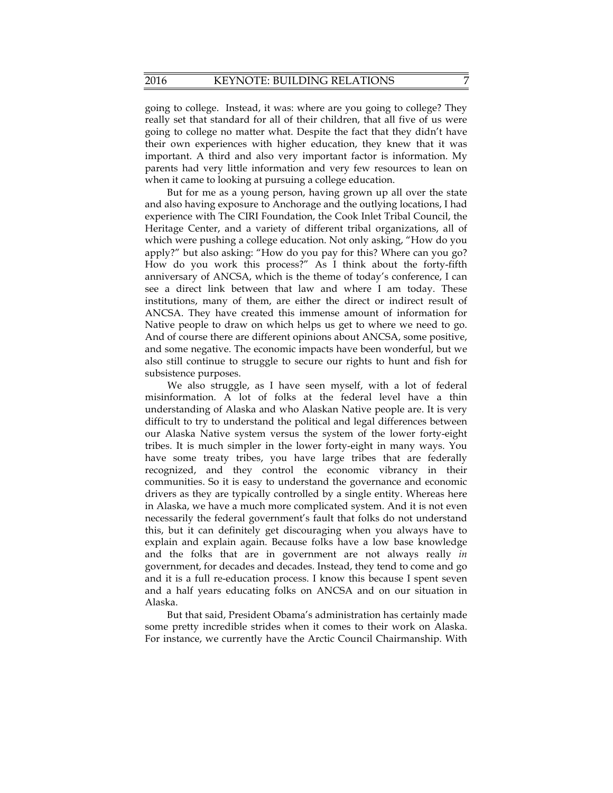going to college. Instead, it was: where are you going to college? They really set that standard for all of their children, that all five of us were going to college no matter what. Despite the fact that they didn't have their own experiences with higher education, they knew that it was important. A third and also very important factor is information. My parents had very little information and very few resources to lean on when it came to looking at pursuing a college education.

But for me as a young person, having grown up all over the state and also having exposure to Anchorage and the outlying locations, I had experience with The CIRI Foundation, the Cook Inlet Tribal Council, the Heritage Center, and a variety of different tribal organizations, all of which were pushing a college education. Not only asking, "How do you apply?" but also asking: "How do you pay for this? Where can you go? How do you work this process?" As I think about the forty-fifth anniversary of ANCSA, which is the theme of today's conference, I can see a direct link between that law and where I am today. These institutions, many of them, are either the direct or indirect result of ANCSA. They have created this immense amount of information for Native people to draw on which helps us get to where we need to go. And of course there are different opinions about ANCSA, some positive, and some negative. The economic impacts have been wonderful, but we also still continue to struggle to secure our rights to hunt and fish for subsistence purposes.

We also struggle, as I have seen myself, with a lot of federal misinformation. A lot of folks at the federal level have a thin understanding of Alaska and who Alaskan Native people are. It is very difficult to try to understand the political and legal differences between our Alaska Native system versus the system of the lower forty-eight tribes. It is much simpler in the lower forty-eight in many ways. You have some treaty tribes, you have large tribes that are federally recognized, and they control the economic vibrancy in their communities. So it is easy to understand the governance and economic drivers as they are typically controlled by a single entity. Whereas here in Alaska, we have a much more complicated system. And it is not even necessarily the federal government's fault that folks do not understand this, but it can definitely get discouraging when you always have to explain and explain again. Because folks have a low base knowledge and the folks that are in government are not always really *in* government, for decades and decades. Instead, they tend to come and go and it is a full re-education process. I know this because I spent seven and a half years educating folks on ANCSA and on our situation in Alaska.

But that said, President Obama's administration has certainly made some pretty incredible strides when it comes to their work on Alaska. For instance, we currently have the Arctic Council Chairmanship. With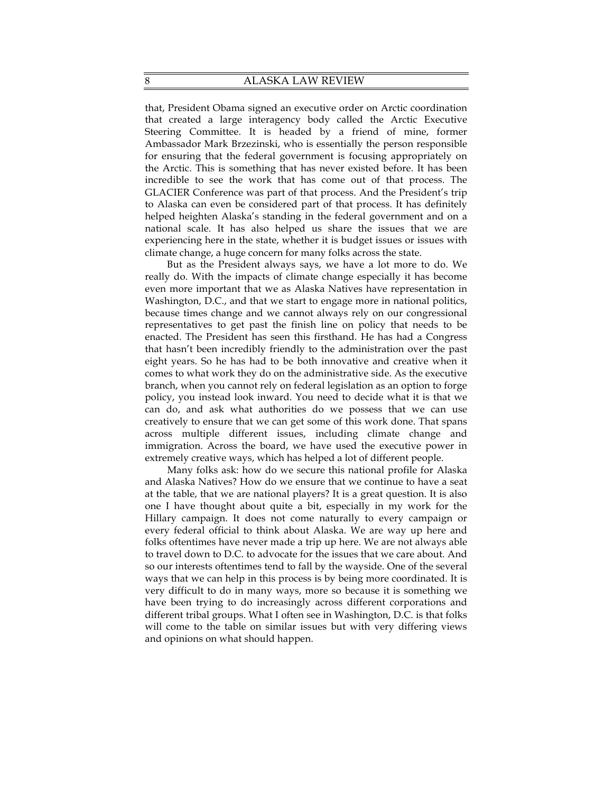that, President Obama signed an executive order on Arctic coordination that created a large interagency body called the Arctic Executive Steering Committee. It is headed by a friend of mine, former Ambassador Mark Brzezinski, who is essentially the person responsible for ensuring that the federal government is focusing appropriately on the Arctic. This is something that has never existed before. It has been incredible to see the work that has come out of that process. The GLACIER Conference was part of that process. And the President's trip to Alaska can even be considered part of that process. It has definitely helped heighten Alaska's standing in the federal government and on a national scale. It has also helped us share the issues that we are experiencing here in the state, whether it is budget issues or issues with climate change, a huge concern for many folks across the state.

But as the President always says, we have a lot more to do. We really do. With the impacts of climate change especially it has become even more important that we as Alaska Natives have representation in Washington, D.C., and that we start to engage more in national politics, because times change and we cannot always rely on our congressional representatives to get past the finish line on policy that needs to be enacted. The President has seen this firsthand. He has had a Congress that hasn't been incredibly friendly to the administration over the past eight years. So he has had to be both innovative and creative when it comes to what work they do on the administrative side. As the executive branch, when you cannot rely on federal legislation as an option to forge policy, you instead look inward. You need to decide what it is that we can do, and ask what authorities do we possess that we can use creatively to ensure that we can get some of this work done. That spans across multiple different issues, including climate change and immigration. Across the board, we have used the executive power in extremely creative ways, which has helped a lot of different people.

Many folks ask: how do we secure this national profile for Alaska and Alaska Natives? How do we ensure that we continue to have a seat at the table, that we are national players? It is a great question. It is also one I have thought about quite a bit, especially in my work for the Hillary campaign. It does not come naturally to every campaign or every federal official to think about Alaska. We are way up here and folks oftentimes have never made a trip up here. We are not always able to travel down to D.C. to advocate for the issues that we care about. And so our interests oftentimes tend to fall by the wayside. One of the several ways that we can help in this process is by being more coordinated. It is very difficult to do in many ways, more so because it is something we have been trying to do increasingly across different corporations and different tribal groups. What I often see in Washington, D.C. is that folks will come to the table on similar issues but with very differing views and opinions on what should happen.